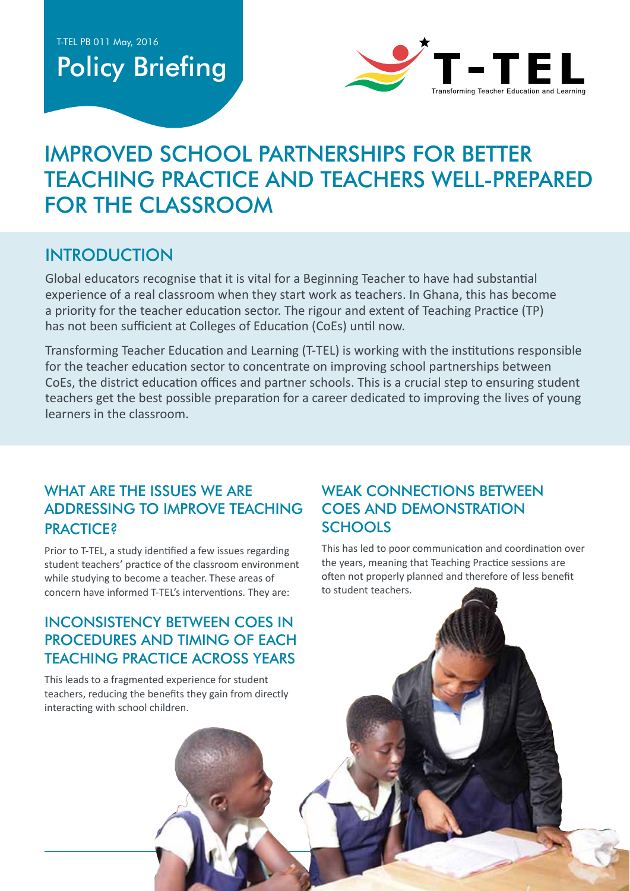# Policy Briefing



# IMPROVED SCHOOL PARTNERSHIPS FOR BETTER TEACHING PRACTICE AND TEACHERS WELL-PREPARED FOR THE CLASSROOM

# **INTRODUCTION**

Global educators recognise that it is vital for a Beginning Teacher to have had substantial experience of a real classroom when they start work as teachers. In Ghana, this has become a priority for the teacher education sector. The rigour and extent of Teaching Practice (TP) has not been sufficient at Colleges of Education (CoEs) until now.

Transforming Teacher Education and Learning (T-TEL) is working with the institutions responsible for the teacher education sector to concentrate on improving school partnerships between CoEs, the district education offices and partner schools. This is a crucial step to ensuring student teachers get the best possible preparation for a career dedicated to improving the lives of young learners in the classroom.

#### WHAT ARE THE ISSUES WE ARE addressing to improve Teaching **PRACTICE?**

Prior to T-TEL, a study identified a few issues regarding student teachers' practice of the classroom environment while studying to become a teacher. These areas of concern have informed T-TEL's interventions. They are:

#### Inconsistency between CoEs in procedures and timing of each Teaching Practice across years

This leads to a fragmented experience for student teachers, reducing the benefits they gain from directly interacting with school children.

#### WEAK CONNECTIONS BETWEEN CoEs and demonstration **SCHOOLS**

This has led to poor communication and coordination over the years, meaning that Teaching Practice sessions are often not properly planned and therefore of less benefit to student teachers.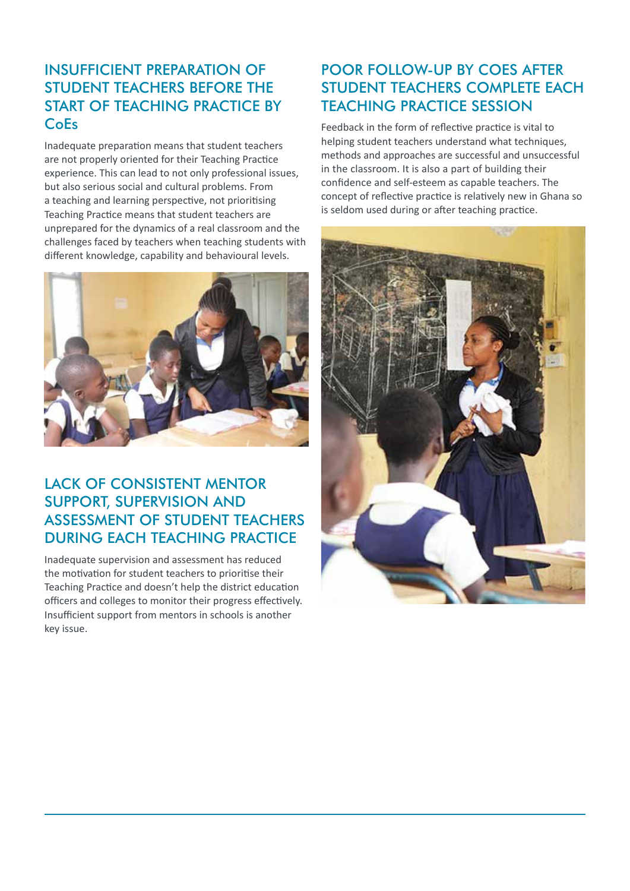#### Insufficient preparation of student teachers before the start of Teaching Practice by **CoEs**

Inadequate preparation means that student teachers are not properly oriented for their Teaching Practice experience. This can lead to not only professional issues, but also serious social and cultural problems. From a teaching and learning perspective, not prioritising Teaching Practice means that student teachers are unprepared for the dynamics of a real classroom and the challenges faced by teachers when teaching students with different knowledge, capability and behavioural levels.



#### Lack of consistent mentor support, supervision and assessment of student teachers during each Teaching Practice

Inadequate supervision and assessment has reduced the motivation for student teachers to prioritise their Teaching Practice and doesn't help the district education officers and colleges to monitor their progress effectively. Insufficient support from mentors in schools is another key issue.

#### Poor follow-up by CoEs after STUDENT TEACHERS COMPLETE EACH Teaching Practice session

Feedback in the form of reflective practice is vital to helping student teachers understand what techniques, methods and approaches are successful and unsuccessful in the classroom. It is also a part of building their confidence and self-esteem as capable teachers. The concept of reflective practice is relatively new in Ghana so is seldom used during or after teaching practice.

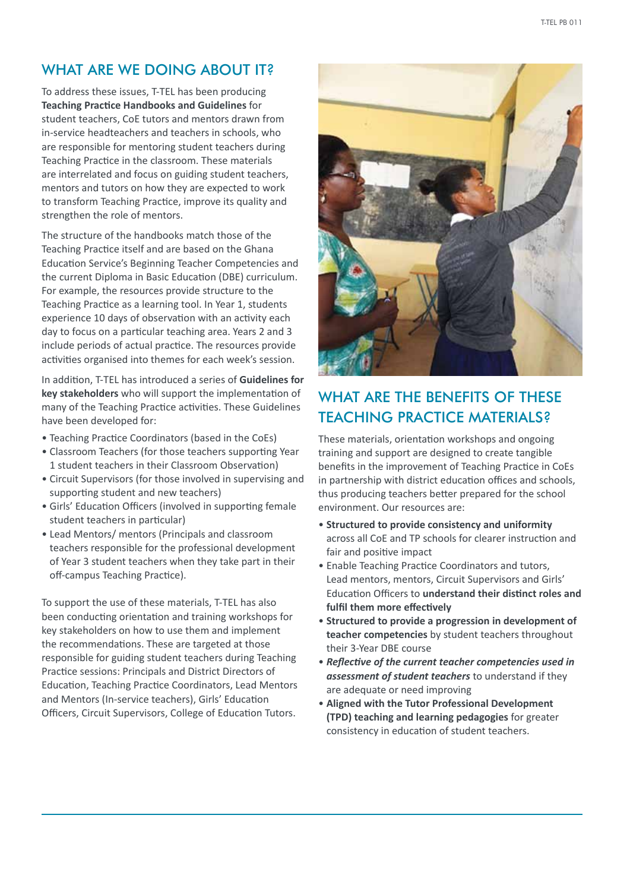#### WHAT ARE WE DOING ABOUT IT?

To address these issues, T-TEL has been producing **Teaching Practice Handbooks and Guidelines** for student teachers, CoE tutors and mentors drawn from in-service headteachers and teachers in schools, who are responsible for mentoring student teachers during Teaching Practice in the classroom. These materials are interrelated and focus on guiding student teachers, mentors and tutors on how they are expected to work to transform Teaching Practice, improve its quality and strengthen the role of mentors.

The structure of the handbooks match those of the Teaching Practice itself and are based on the Ghana Education Service's Beginning Teacher Competencies and the current Diploma in Basic Education (DBE) curriculum. For example, the resources provide structure to the Teaching Practice as a learning tool. In Year 1, students experience 10 days of observation with an activity each day to focus on a particular teaching area. Years 2 and 3 include periods of actual practice. The resources provide activities organised into themes for each week's session.

In addition, T-TEL has introduced a series of **Guidelines for key stakeholders** who will support the implementation of many of the Teaching Practice activities. These Guidelines have been developed for:

- Teaching Practice Coordinators (based in the CoEs)
- Classroom Teachers (for those teachers supporting Year 1 student teachers in their Classroom Observation)
- Circuit Supervisors (for those involved in supervising and supporting student and new teachers)
- Girls' Education Officers (involved in supporting female student teachers in particular)
- Lead Mentors/ mentors (Principals and classroom teachers responsible for the professional development of Year 3 student teachers when they take part in their off-campus Teaching Practice).

To support the use of these materials, T-TEL has also been conducting orientation and training workshops for key stakeholders on how to use them and implement the recommendations. These are targeted at those responsible for guiding student teachers during Teaching Practice sessions: Principals and District Directors of Education, Teaching Practice Coordinators, Lead Mentors and Mentors (In-service teachers), Girls' Education Officers, Circuit Supervisors, College of Education Tutors.



# WHAT ARE THE BENEFITS OF THESE Teaching Practice materials?

These materials, orientation workshops and ongoing training and support are designed to create tangible benefits in the improvement of Teaching Practice in CoEs in partnership with district education offices and schools, thus producing teachers better prepared for the school environment. Our resources are:

- **Structured to provide consistency and uniformity** across all CoE and TP schools for clearer instruction and fair and positive impact
- Enable Teaching Practice Coordinators and tutors, Lead mentors, mentors, Circuit Supervisors and Girls' Education Officers to **understand their distinct roles and fulfil them more effectively**
- **Structured to provide a progression in development of teacher competencies** by student teachers throughout their 3-Year DBE course
- *Reflective of the current teacher competencies used in assessment of student teachers* to understand if they are adequate or need improving
- **Aligned with the Tutor Professional Development (TPD) teaching and learning pedagogies** for greater consistency in education of student teachers.